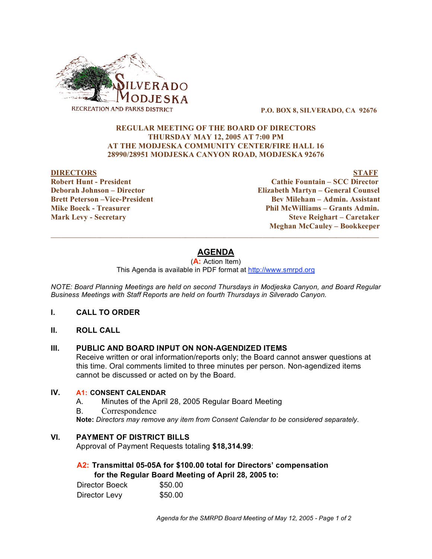

**P.O. BOX 8, SILVERADO, CA 92676**

#### **REGULAR MEETING OF THE BOARD OF DIRECTORS THURSDAY MAY 12, 2005 AT 7:00 PM AT THE MODJESKA COMMUNITY CENTER/FIRE HALL 16 28990/28951 MODJESKA CANYON ROAD, MODJESKA 92676**

#### **DIRECTORS STAFF**

**Robert Hunt - President Cathie Fountain – SCC Director Deborah Johnson – Director Elizabeth Martyn – General Counsel Brett Peterson –Vice-President Bev Mileham – Admin. Assistant Mike Boeck - Treasurer Phil McWilliams – Grants Admin. Mark Levy - Secretary Steve Reighart – Caretaker Meghan McCauley – Bookkeeper**

# **AGENDA**

 $\overline{\phantom{a}}$  , and the contribution of the contribution of the contribution of the contribution of the contribution of the contribution of the contribution of the contribution of the contribution of the contribution of the

(**A:** Action Item)

This Agenda is available in PDF format at http://www.smrpd.org

*NOTE: Board Planning Meetings are held on second Thursdays in Modjeska Canyon, and Board Regular Business Meetings with Staff Reports are held on fourth Thursdays in Silverado Canyon.*

- **I. CALL TO ORDER**
- **II. ROLL CALL**

#### **III. PUBLIC AND BOARD INPUT ON NON-AGENDIZED ITEMS**

Receive written or oral information/reports only; the Board cannot answer questions at this time. Oral comments limited to three minutes per person. Non-agendized items cannot be discussed or acted on by the Board.

## **IV. A1: CONSENT CALENDAR**

- A. Minutes of the April 28, 2005 Regular Board Meeting
- B. Correspondence

**Note:** *Directors may remove any item from Consent Calendar to be considered separately.*

### **VI. PAYMENT OF DISTRICT BILLS**

Approval of Payment Requests totaling **\$18,314.99**:

#### **A2: Transmittal 05-05A for \$100.00 total for Directors' compensation for the Regular Board Meeting of April 28, 2005 to:**

| Director Boeck | \$50.00 |
|----------------|---------|
| Director Levy  | \$50.00 |